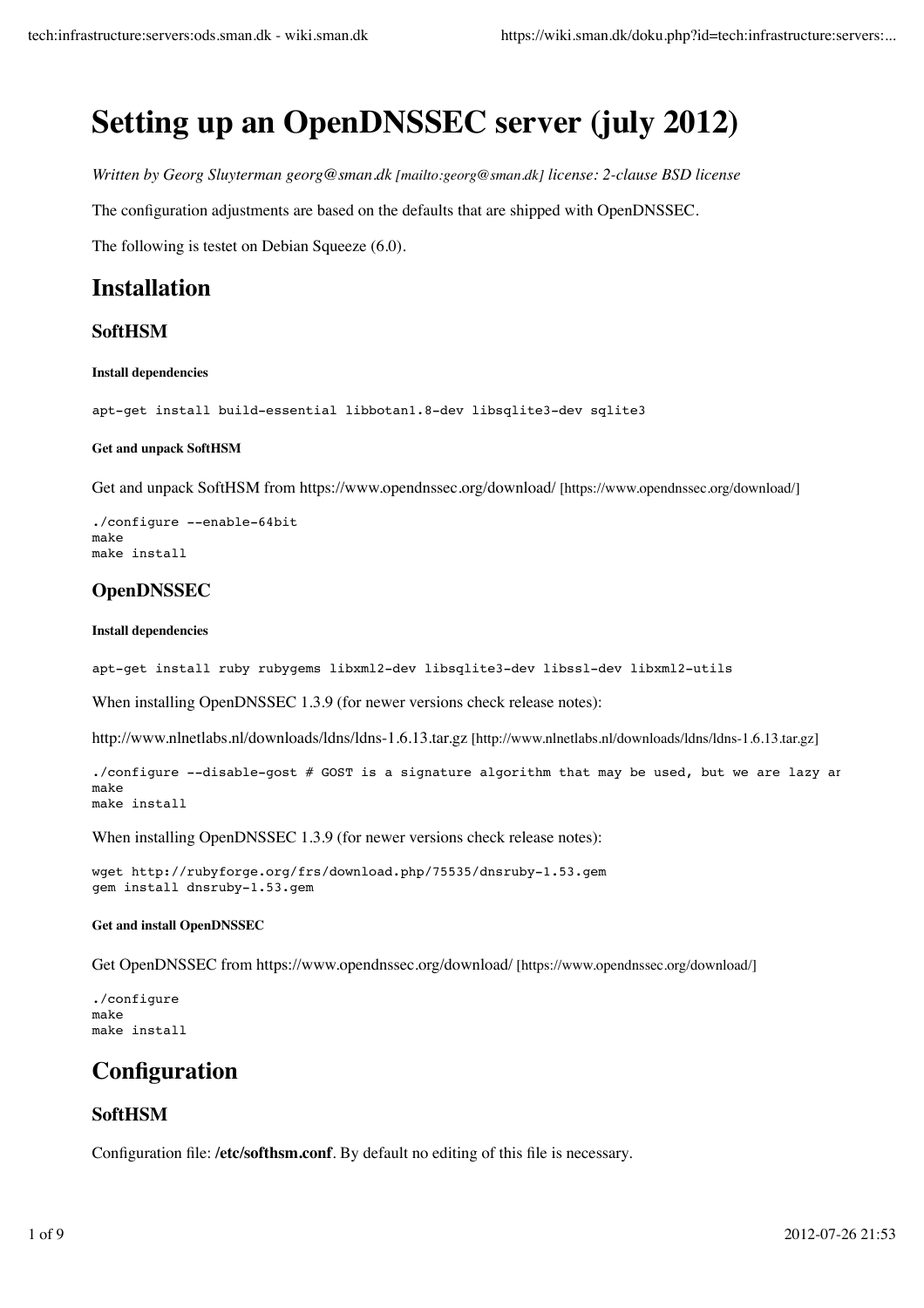# **Setting up an OpenDNSSEC server (july 2012)**

*Written by Georg Sluyterman georg@sman.dk [mailto:georg@sman.dk] license: 2-clause BSD license*

The configuration adjustments are based on the defaults that are shipped with OpenDNSSEC.

The following is testet on Debian Squeeze (6.0).

# **Installation**

### **SoftHSM**

#### **Install dependencies**

apt-get install build-essential libbotan1.8-dev libsqlite3-dev sqlite3

#### **Get and unpack SoftHSM**

Get and unpack SoftHSM from https://www.opendnssec.org/download/ [https://www.opendnssec.org/download/]

```
./configure --enable-64bit
make
make install
```
## **OpenDNSSEC**

#### **Install dependencies**

apt-get install ruby rubygems libxml2-dev libsqlite3-dev libssl-dev libxml2-utils

When installing OpenDNSSEC 1.3.9 (for newer versions check release notes):

http://www.nlnetlabs.nl/downloads/ldns/ldns-1.6.13.tar.gz [http://www.nlnetlabs.nl/downloads/ldns/ldns-1.6.13.tar.gz]

./configure --disable-gost # GOST is a signature algorithm that may be used, but we are lazy an make make install

When installing OpenDNSSEC 1.3.9 (for newer versions check release notes):

wget http://rubyforge.org/frs/download.php/75535/dnsruby-1.53.gem gem install dnsruby-1.53.gem

#### **Get and install OpenDNSSEC**

Get OpenDNSSEC from https://www.opendnssec.org/download/ [https://www.opendnssec.org/download/]

./configure make make install

# **Configuration**

### **SoftHSM**

Configuration file: **/etc/softhsm.conf**. By default no editing of this file is necessary.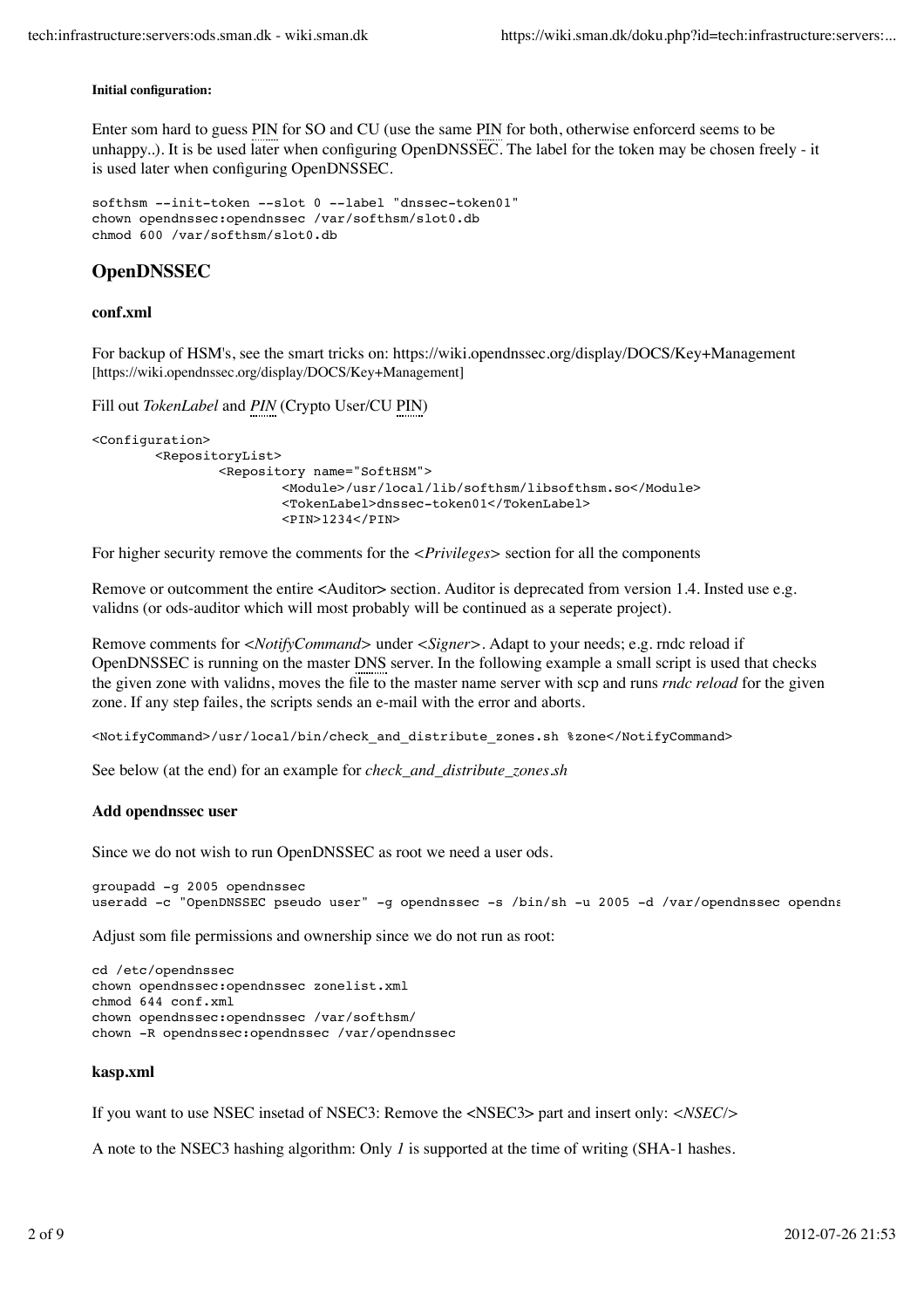#### **Initial configuration:**

Enter som hard to guess PIN for SO and CU (use the same PIN for both, otherwise enforcerd seems to be unhappy..). It is be used later when configuring OpenDNSSEC. The label for the token may be chosen freely - it is used later when configuring OpenDNSSEC.

```
softhsm --init-token --slot 0 --label "dnssec-token01"
chown opendnssec:opendnssec /var/softhsm/slot0.db
chmod 600 /var/softhsm/slot0.db
```
#### **OpenDNSSEC**

#### **conf.xml**

For backup of HSM's, see the smart tricks on: https://wiki.opendnssec.org/display/DOCS/Key+Management [https://wiki.opendnssec.org/display/DOCS/Key+Management]

```
Fill out TokenLabel and PIN (Crypto User/CU PIN)
```

```
<Configuration>
         <RepositoryList>
                 <Repository name="SoftHSM">
                          <Module>/usr/local/lib/softhsm/libsofthsm.so</Module>
                          <TokenLabel>dnssec-token01</TokenLabel>
                          <PIN>1234</PIN>
```
For higher security remove the comments for the *<Privileges>* section for all the components

Remove or outcomment the entire <Auditor> section. Auditor is deprecated from version 1.4. Insted use e.g. validns (or ods-auditor which will most probably will be continued as a seperate project).

Remove comments for *<NotifyCommand>* under *<Signer>*. Adapt to your needs; e.g. rndc reload if OpenDNSSEC is running on the master DNS server. In the following example a small script is used that checks the given zone with validns, moves the file to the master name server with scp and runs *rndc reload* for the given zone. If any step failes, the scripts sends an e-mail with the error and aborts.

<NotifyCommand>/usr/local/bin/check\_and\_distribute\_zones.sh %zone</NotifyCommand>

See below (at the end) for an example for *check\_and\_distribute\_zones.sh*

#### **Add opendnssec user**

Since we do not wish to run OpenDNSSEC as root we need a user ods.

```
groupadd -g 2005 opendnssec
useradd -c "OpenDNSSEC pseudo user" -g opendnssec -s /bin/sh -u 2005 -d /var/opendnssec opendnssec
```
Adjust som file permissions and ownership since we do not run as root:

```
cd /etc/opendnssec
chown opendnssec:opendnssec zonelist.xml
chmod 644 conf.xml
chown opendnssec:opendnssec /var/softhsm/ 
chown -R opendnssec:opendnssec /var/opendnssec
```
#### **kasp.xml**

If you want to use NSEC insetad of NSEC3: Remove the <NSEC3> part and insert only: *<NSEC/>*

A note to the NSEC3 hashing algorithm: Only *1* is supported at the time of writing (SHA-1 hashes.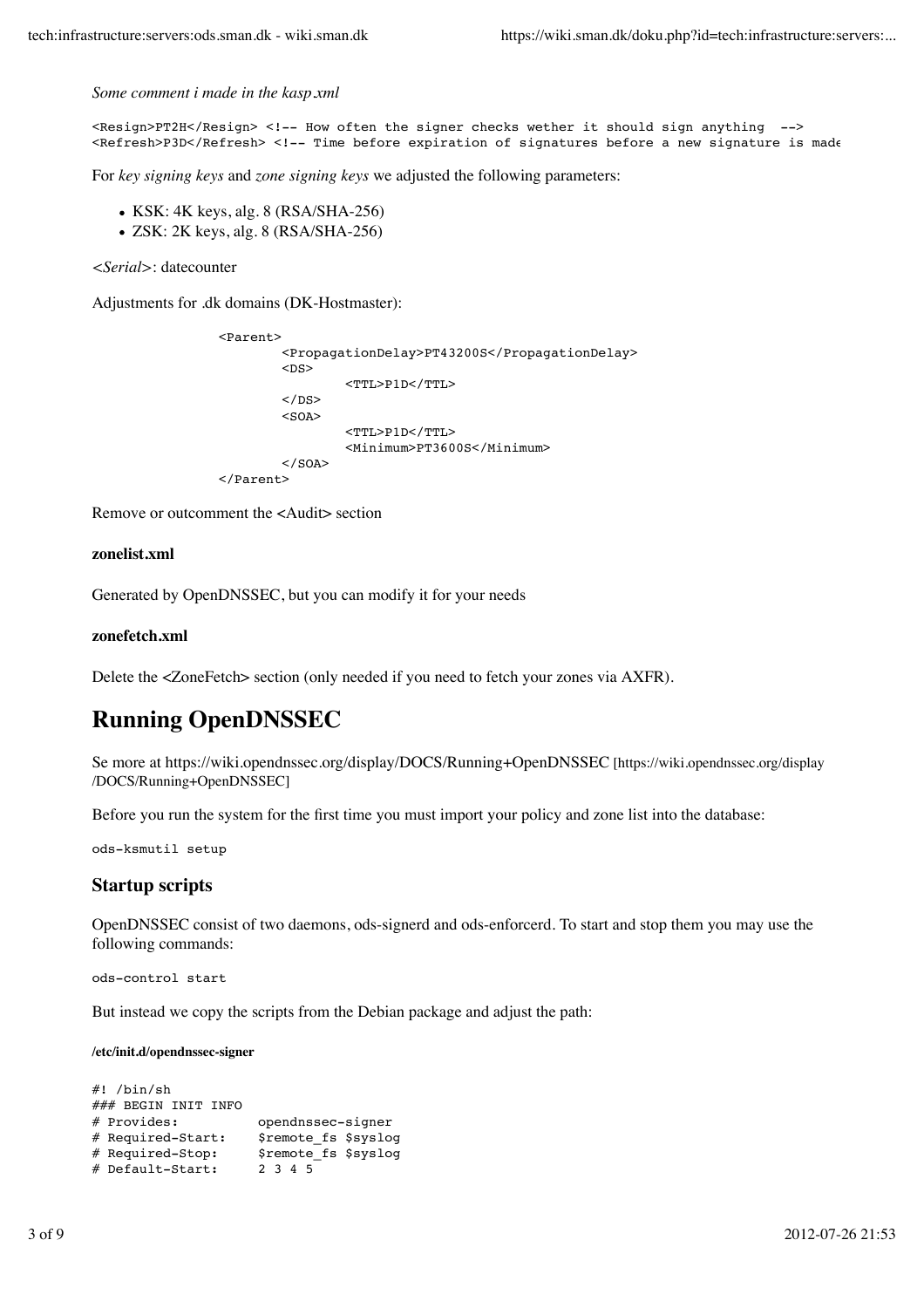#### *Some comment i made in the kasp.xml*

```
<Resign>PT2H</Resign> <!-- How often the signer checks wether it should sign anything -->
<Refresh>P3D</Refresh> <!-- Time before expiration of signatures before a new signature is made
```
For *key signing keys* and *zone signing keys* we adjusted the following parameters:

- $\bullet$  KSK: 4K keys, alg. 8 (RSA/SHA-256)
- ZSK: 2K keys, alg. 8 (RSA/SHA-256)

*<Serial>*: datecounter

Adjustments for .dk domains (DK-Hostmaster):

```
 <Parent>
          <PropagationDelay>PT43200S</PropagationDelay>
         <DS> <TTL>P1D</TTL>
         \langle/DS><SOA> <TTL>P1D</TTL>
                   <Minimum>PT3600S</Minimum>
         \langle/SOA> </Parent>
```
Remove or outcomment the <Audit> section

#### **zonelist.xml**

Generated by OpenDNSSEC, but you can modify it for your needs

#### **zonefetch.xml**

Delete the <ZoneFetch> section (only needed if you need to fetch your zones via AXFR).

# **Running OpenDNSSEC**

Se more at https://wiki.opendnssec.org/display/DOCS/Running+OpenDNSSEC [https://wiki.opendnssec.org/display /DOCS/Running+OpenDNSSEC]

Before you run the system for the first time you must import your policy and zone list into the database:

ods-ksmutil setup

#### **Startup scripts**

OpenDNSSEC consist of two daemons, ods-signerd and ods-enforcerd. To start and stop them you may use the following commands:

ods-control start

But instead we copy the scripts from the Debian package and adjust the path:

#### **/etc/init.d/opendnssec-signer**

```
#! /bin/sh
### BEGIN INIT INFO
# Provides: opendnssec-signer
# Required-Start: $remote fs $syslog
# Required-Stop: $remote_fs $syslog
# Default-Start:
```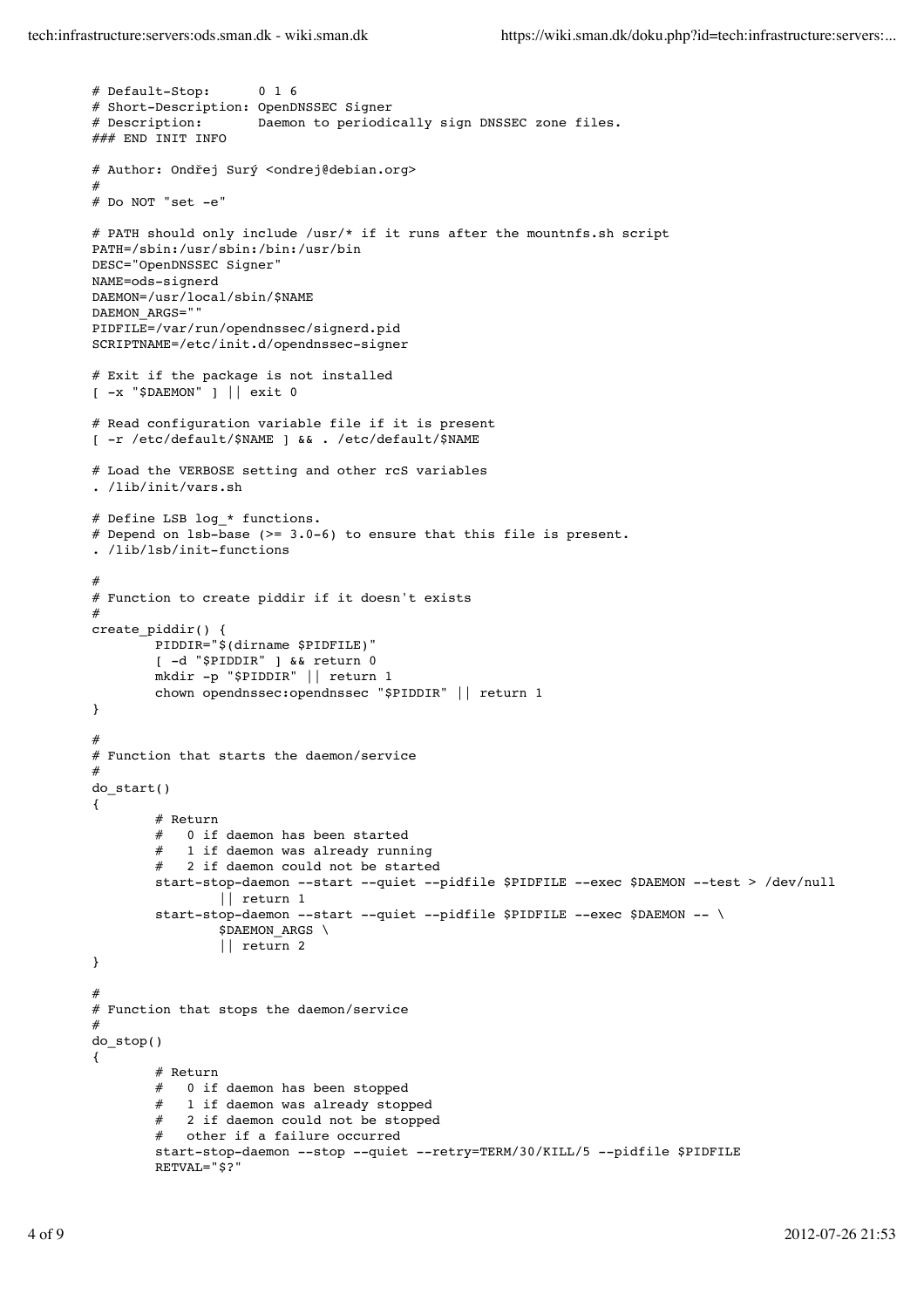```
# Default-Stop: 0 1 6
# Short-Description: OpenDNSSEC Signer
# Description: Daemon to periodically sign DNSSEC zone files.
### END INIT INFO
# Author: Ondřej Surý <ondrej@debian.org>
#
# Do NOT "set -e"
# PATH should only include /usr/* if it runs after the mountnfs.sh script
PATH=/sbin:/usr/sbin:/bin:/usr/bin
DESC="OpenDNSSEC Signer"
NAME=ods-signerd
DAEMON=/usr/local/sbin/$NAME
DAEMON_ARGS=""
PIDFILE=/var/run/opendnssec/signerd.pid
SCRIPTNAME=/etc/init.d/opendnssec-signer
# Exit if the package is not installed
[ -x "$DAEMON" ] || exit 0
# Read configuration variable file if it is present
[ -r /etc/default/$NAME ] && . /etc/default/$NAME
# Load the VERBOSE setting and other rcS variables
. /lib/init/vars.sh
# Define LSB log_* functions.
# Depend on lsb-base (>= 3.0-6) to ensure that this file is present.
. /lib/lsb/init-functions
#
# Function to create piddir if it doesn't exists
#
create_piddir() {
        PIDDIR="$(dirname $PIDFILE)"
        [ -d "$PIDDIR" ] && return 0
        mkdir -p "$PIDDIR" || return 1
        chown opendnssec:opendnssec "$PIDDIR" || return 1
}
#
# Function that starts the daemon/service
#
do_start()
{
        \begin{array}{c}\n# \quad \text{Return} \\
\# \quad 0 \quad \text{if} \quad \end{array}0 if daemon has been started
           1 if daemon was already running
           2 if daemon could not be started
        start-stop-daemon --start --quiet --pidfile $PIDFILE --exec $DAEMON --test > /dev/null
                 || return 1
        start-stop-daemon --start --quiet --pidfile $PIDFILE --exec $DAEMON -- \
                 $DAEMON ARGS \
                 || return 2
}
#
# Function that stops the daemon/service
#
do_stop()
{
        # Return
        # 0 if daemon has been stopped
        # 1 if daemon was already stopped
           2 if daemon could not be stopped
        # other if a failure occurred
        start-stop-daemon --stop --quiet --retry=TERM/30/KILL/5 --pidfile $PIDFILE
        RETVAL="$?"
```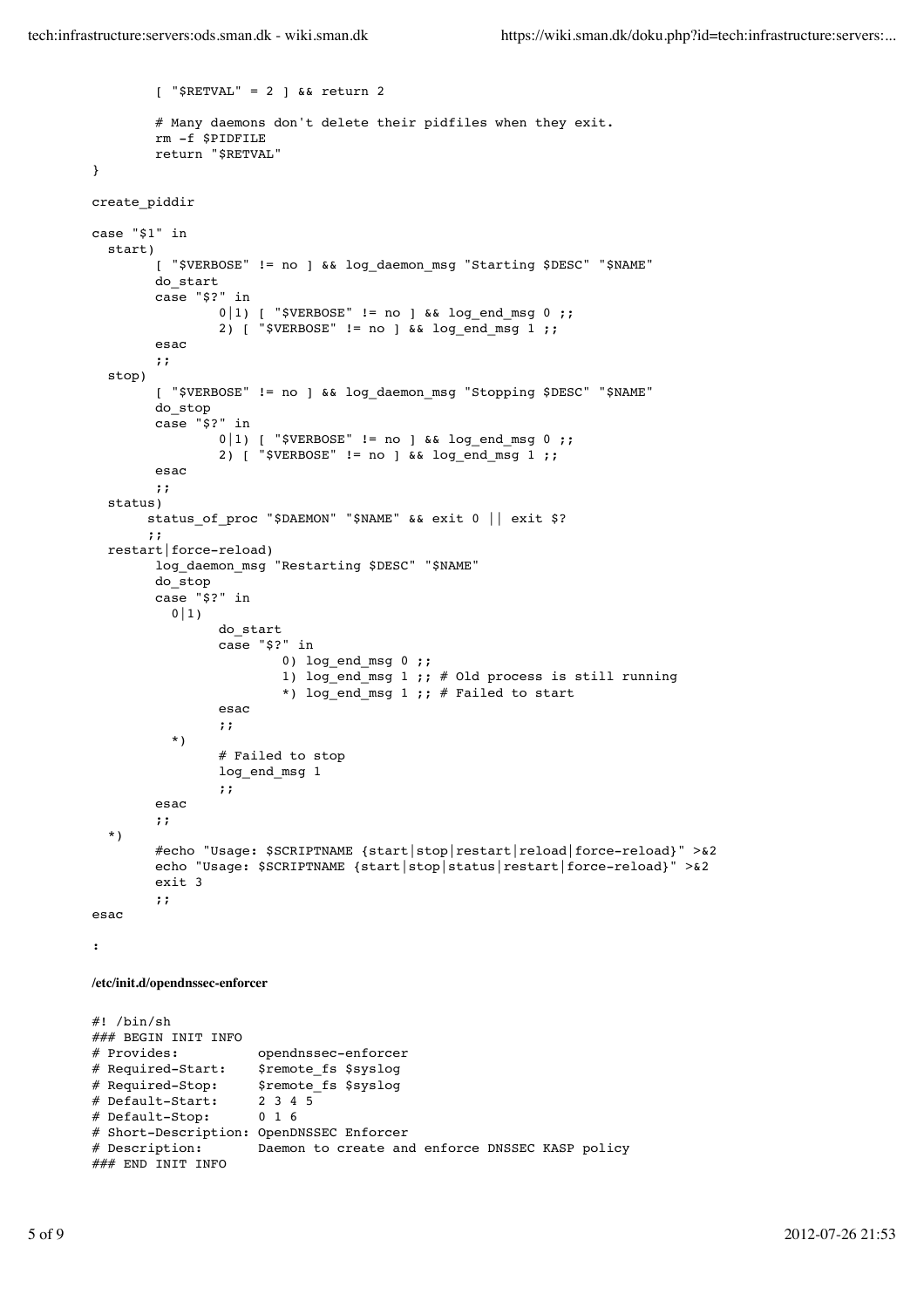```
[ "$RETVAL" = 2 ] && return 2
        # Many daemons don't delete their pidfiles when they exit.
        rm -f $PIDFILE
        return "$RETVAL"
}
create_piddir
case "$1" in
   start)
        [ "$VERBOSE" != no ] && log_daemon_msg "Starting $DESC" "$NAME"
        do_start
        case "$?" in
                 0|1) [ "$VERBOSE" != no ] && log_end_msg 0 ;;
                 2) [ "$VERBOSE" != no ] && log_end_msg 1 ;;
        esac
        ;;
   stop)
        [ "$VERBOSE" != no ] && log_daemon_msg "Stopping $DESC" "$NAME"
        do_stop
        case "$?" in
                 0|1) [ "$VERBOSE" != no ] && log end msg 0 ;;
                 2) \left[\begin{array}{ccc} 2 & -1 \\ 2 & -1 \end{array}\right] = 1 :
        esac
        ;;
   status)
       status of proc "$DAEMON" "$NAME" && exit 0 || exit $?
        ;;
   restart|force-reload)
        log_daemon_msg "Restarting $DESC" "$NAME"
        do_stop
        case "$?" in
          0|1)do_start
                 case "$?" in
                         0) log_end_msg 0 ;;
                         1) log_{10} and msg 1 ;; # Old process is still running
                         *) log end msg 1 ;; # Failed to start
                 esac
                 ;;
           *)
                  # Failed to stop
                 log_end_msg 1
                 ;;
        esac
        ;;
   *)
        #echo "Usage: $SCRIPTNAME {start|stop|restart|reload|force-reload}" >&2
        echo "Usage: $SCRIPTNAME {start|stop|status|restart|force-reload}" >&2
        exit 3
        ;;
esac
:
/etc/init.d/opendnssec-enforcer
#! /bin/sh
### BEGIN INIT INFO<br># Provides:
                      opendnssec-enforcer
# Required-Start: $remote_fs $syslog
# Required-Stop: $remote fs $syslog
# Default-Start: 2 3 4 5
# Default-Stop: 0 1 6
# Short-Description: OpenDNSSEC Enforcer
# Description: Daemon to create and enforce DNSSEC KASP policy
### END INIT INFO
```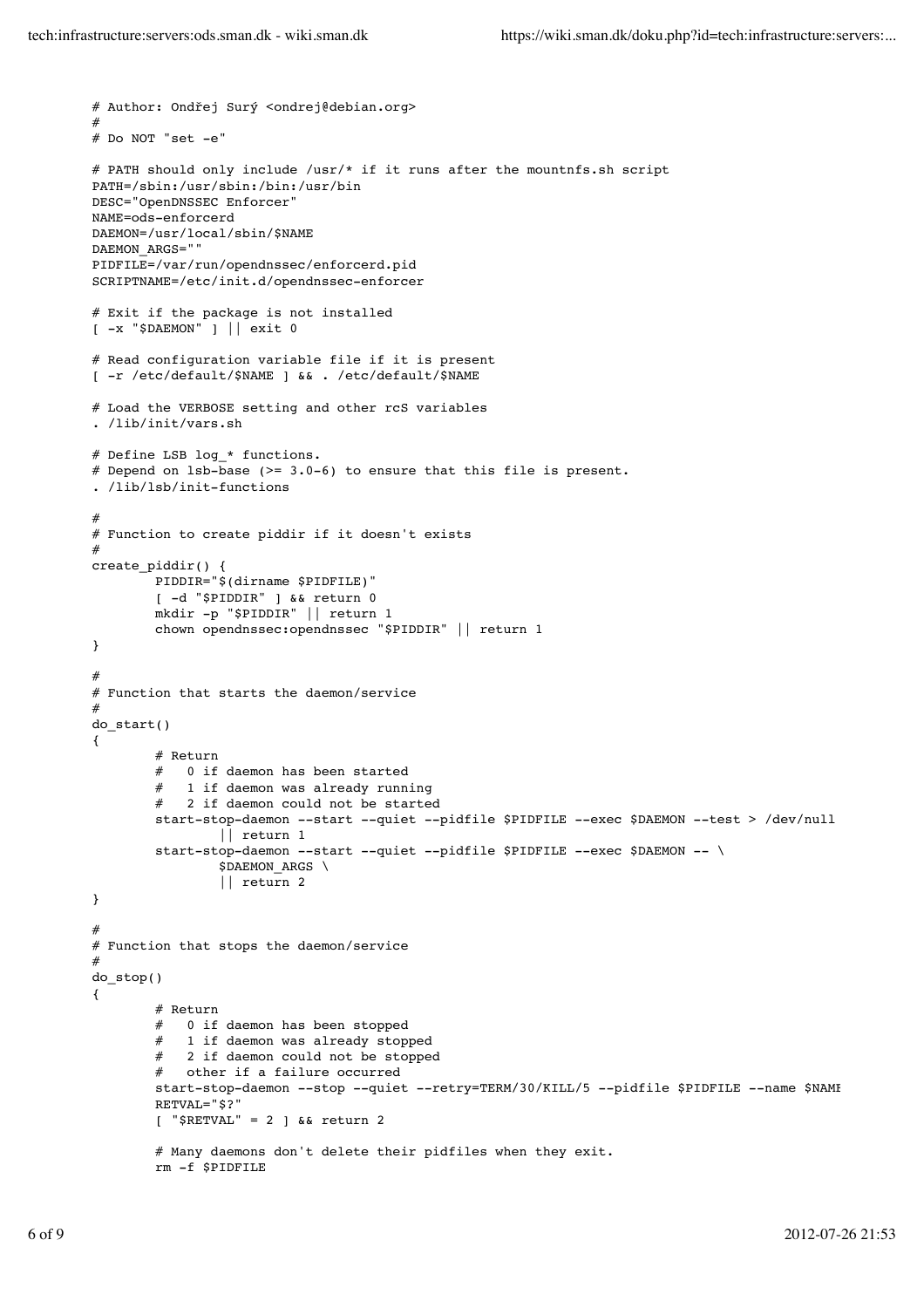```
# Author: Ondřej Surý <ondrej@debian.org>
#
# Do NOT "set -e"
# PATH should only include /usr/* if it runs after the mountnfs.sh script
PATH=/sbin:/usr/sbin:/bin:/usr/bin
DESC="OpenDNSSEC Enforcer"
NAME=ods-enforcerd
DAEMON=/usr/local/sbin/$NAME
DAEMON_ARGS=""
PIDFILE=/var/run/opendnssec/enforcerd.pid
SCRIPTNAME=/etc/init.d/opendnssec-enforcer
# Exit if the package is not installed
[ -x "$DAEMON" ] || exit 0
# Read configuration variable file if it is present
[ -r /etc/default/$NAME ] && . /etc/default/$NAME
# Load the VERBOSE setting and other rcS variables
. /lib/init/vars.sh
# Define LSB log_* functions.
# Depend on 1sb-base (>= 3.0-6) to ensure that this file is present.
. /lib/lsb/init-functions
#
# Function to create piddir if it doesn't exists
#
create_piddir() {
        PIDDIR="$(dirname $PIDFILE)"
        [ -d "$PIDDIR" ] && return 0
        mkdir -p "$PIDDIR" || return 1
        chown opendnssec:opendnssec "$PIDDIR" || return 1
}
#
# Function that starts the daemon/service
#
do_start()
{
        # Return
           0 if daemon has been started
           1 if daemon was already running
        # 2 if daemon could not be started
        start-stop-daemon --start --quiet --pidfile $PIDFILE --exec $DAEMON --test > /dev/null \
                 || return 1
        start-stop-daemon --start --quiet --pidfile $PIDFILE --exec $DAEMON -- \
                 $DAEMON_ARGS \
                 || return 2
}
#
# Function that stops the daemon/service
#
do_stop()
{
        # Return
        # 0 if daemon has been stopped<br># 1 if daemon was already storm
        # 1 if daemon was already stopped<br># 2 if daemon could not be stopped
           2 if daemon could not be stopped
        # other if a failure occurred
        start-stop-daemon --stop --quiet --retry=TERM/30/KILL/5 --pidfile $PIDFILE --name $NAME
        RETVAL="$?"
        [ "$RETVAL" = 2 ] && return 2
        # Many daemons don't delete their pidfiles when they exit.
        rm -f $PIDFILE
```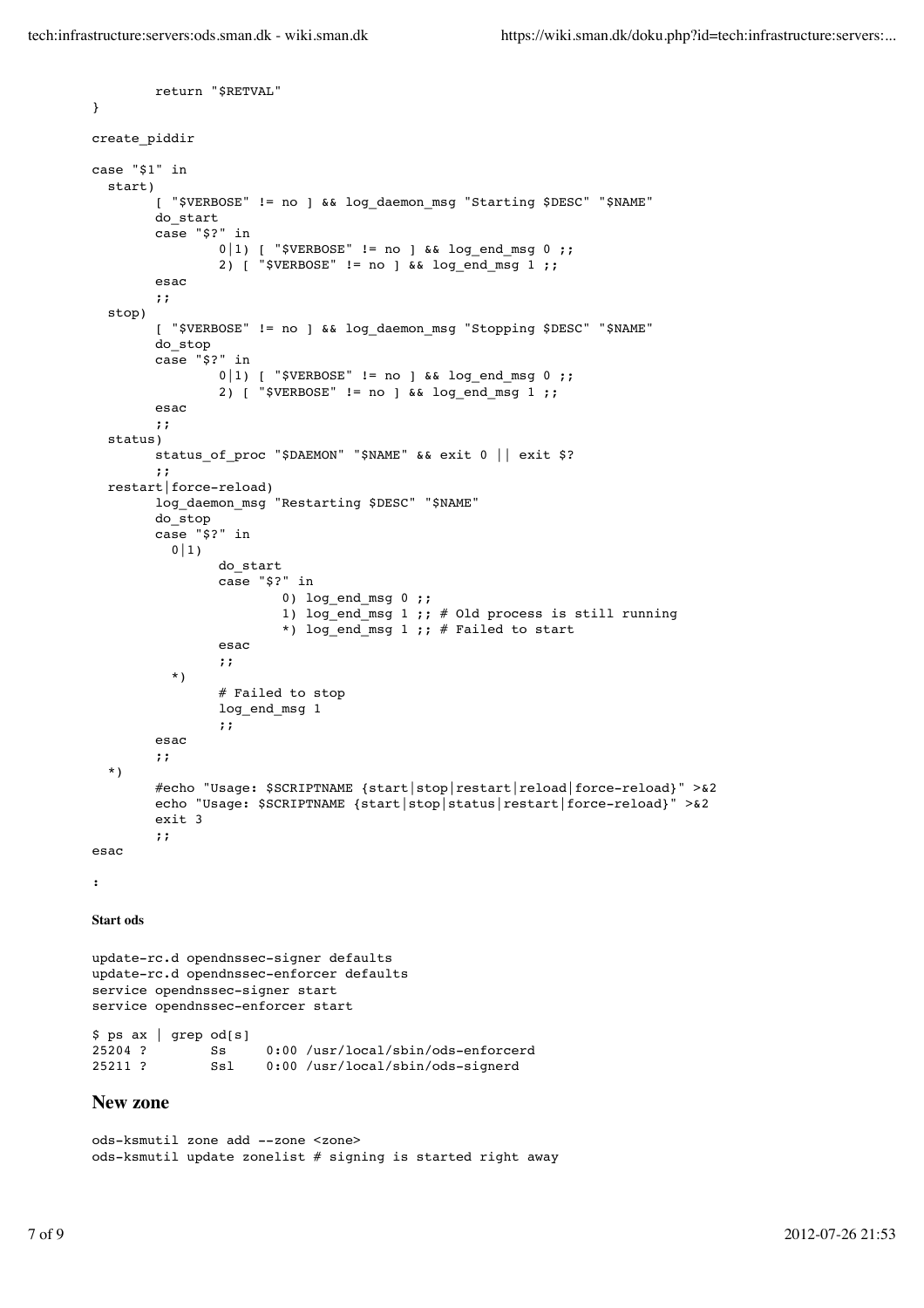```
return "$RETVAL"
}
create_piddir
case "$1" in
   start)
        [ "$VERBOSE" != no ] && log_daemon_msg "Starting $DESC" "$NAME"
        do_start
        case "$?" in
                 0|1) [ "$VERBOSE" != no ] && log end msg 0 ;;
                 2) [ "$VERBOSE" != no ] && log end msg 1 ;;
        esac
        ;;
   stop)
        [ "$VERBOSE" != no ] && log_daemon_msg "Stopping $DESC" "$NAME"
        do_stop
        case "$?" in
                 0|1) [ "$VERBOSE" != no ] && log end msg 0 ;;
                 2) [ "$VERBOSE" != no ] & a log end msg 1 ;;
        esac
        ;;
   status)
        status_of_proc "$DAEMON" "$NAME" && exit 0 || exit $?
        ;;
   restart|force-reload)
        log_daemon_msg "Restarting $DESC" "$NAME"
        do_stop
        case "$?" in
          0|1)do_start
                 case "$?" in
                         0) log_end_msg 0 ;;
                         1) log_end_msg 1 ;; # Old process is still running
                         *) log_end_msg 1 ;; # Failed to start
                 esac
                 ;;
           *)
                  # Failed to stop
                 log_end_msg 1
                 ;;
        esac
        ;;
   *)
        #echo "Usage: $SCRIPTNAME {start|stop|restart|reload|force-reload}" >&2
        echo "Usage: $SCRIPTNAME {start|stop|status|restart|force-reload}" >&2
        exit 3
        ;;
esac
:
Start ods
update-rc.d opendnssec-signer defaults
update-rc.d opendnssec-enforcer defaults
service opendnssec-signer start
service opendnssec-enforcer start
$ ps ax | grep od[s]
25204 ? Ss 0:00 /usr/local/sbin/ods-enforcerd<br>25211 ? Ssl 0:00 /usr/local/sbin/ods-signerd
                Ssl 0:00 /usr/local/sbin/ods-signerd
New zone
```
ods-ksmutil zone add --zone <zone>

ods-ksmutil update zonelist  $#$  signing is started right away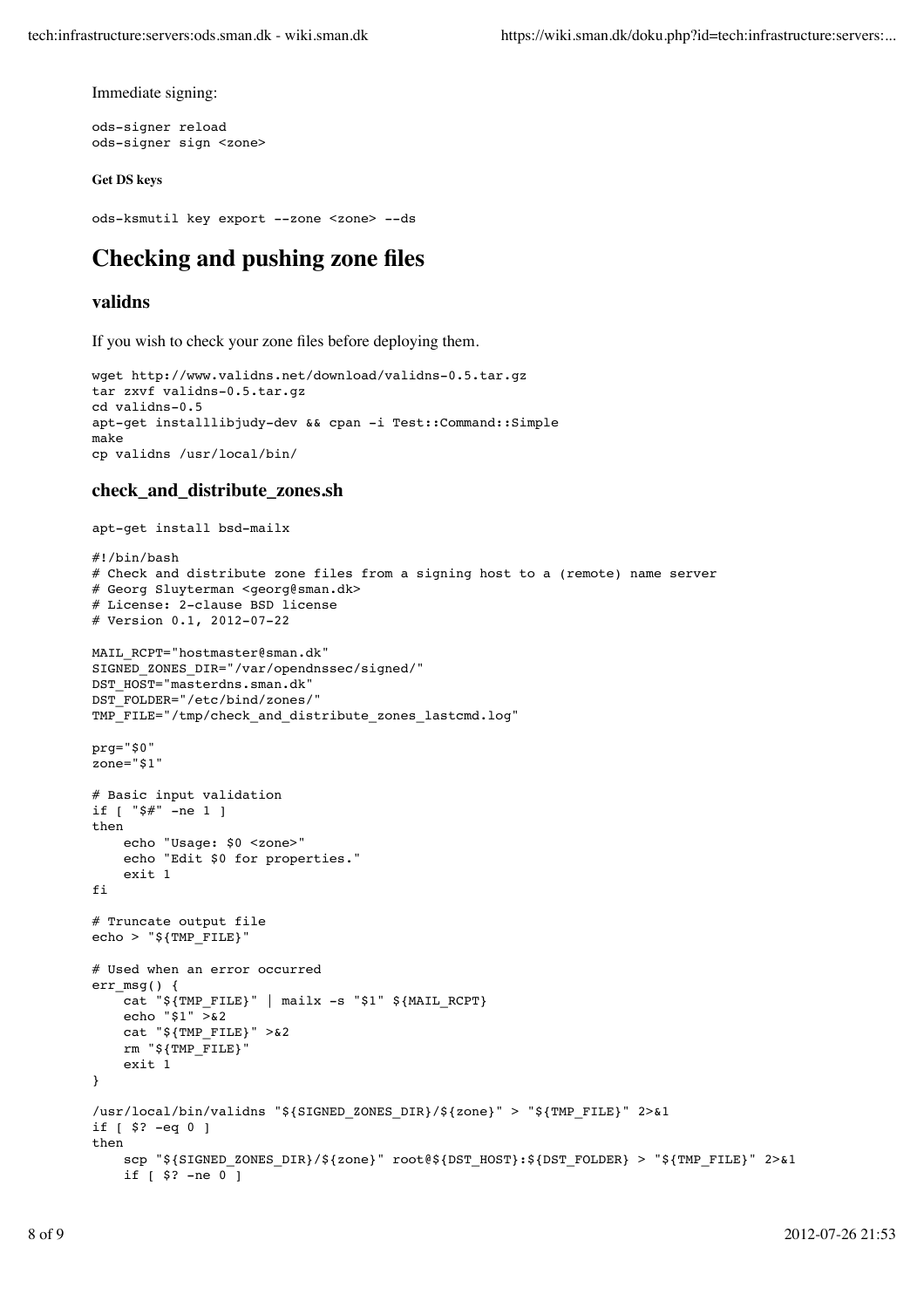Immediate signing:

ods-signer reload ods-signer sign <zone>

#### **Get DS keys**

```
ods-ksmutil key export --zone <zone> --ds
```
# **Checking and pushing zone files**

#### **validns**

If you wish to check your zone files before deploying them.

```
wget http://www.validns.net/download/validns-0.5.tar.gz
tar zxvf validns-0.5.tar.gz
cd validns-0.5
apt-get installlibjudy-dev && cpan -i Test::Command::Simple
make
cp validns /usr/local/bin/
```
#### **check\_and\_distribute\_zones.sh**

```
apt-get install bsd-mailx
#!/bin/bash
# Check and distribute zone files from a signing host to a (remote) name server
# Georg Sluyterman <georg@sman.dk>
# License: 2-clause BSD license
# Version 0.1, 2012-07-22
MAIL RCPT="hostmaster@sman.dk"
SIGNED_ZONES_DIR="/var/opendnssec/signed/"
DST_HOST="masterdns.sman.dk"
DST_FOLDER="/etc/bind/zones/"
TMP_FILE="/tmp/check_and_distribute_zones_lastcmd.log"
prg="$0"
zone="$1"
# Basic input validation
if [ "$#" -ne 1 ]
then
     echo "Usage: $0 <zone>"
     echo "Edit $0 for properties."
     exit 1
fi
# Truncate output file
echo > "§{TMP_FILE}"
# Used when an error occurred
err msg() {
    cat "${TMP_FILE}" | mailx -s "$1" ${MAIL_RCPT}
   echo "$1" >82 cat "${TMP_FILE}" >&2
    rm "${TMP_FILE}"
     exit 1
}
/usr/local/bin/validns "${SIGNED_ZONES_DIR}/${zone}" > "${TMP_FILE}" 2>&1
if [ $? -eq 0 ]
then
    scp "${SIGNED ZONES DIR}/${zone}" root@${DST HOST}:${DST FOLDER} > "${TMP FILE}" 2>&1
    if [ $? -ne 0]
```